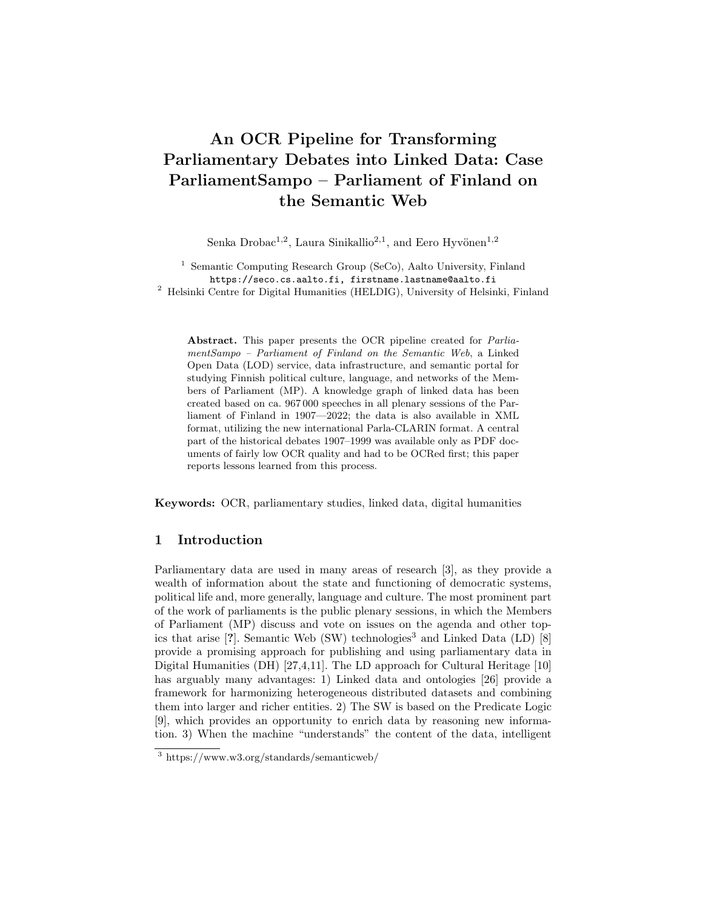# An OCR Pipeline for Transforming Parliamentary Debates into Linked Data: Case ParliamentSampo – Parliament of Finland on the Semantic Web

Senka Drobac<sup>1,2</sup>, Laura Sinikallio<sup>2,1</sup>, and Eero Hyvönen<sup>1,2</sup>

<sup>1</sup> Semantic Computing Research Group (SeCo), Aalto University, Finland https://seco.cs.aalto.fi, firstname.lastname@aalto.fi <sup>2</sup> Helsinki Centre for Digital Humanities (HELDIG), University of Helsinki, Finland

Abstract. This paper presents the OCR pipeline created for ParliamentSampo – Parliament of Finland on the Semantic Web, a Linked Open Data (LOD) service, data infrastructure, and semantic portal for studying Finnish political culture, language, and networks of the Members of Parliament (MP). A knowledge graph of linked data has been created based on ca. 967 000 speeches in all plenary sessions of the Parliament of Finland in 1907—2022; the data is also available in XML format, utilizing the new international Parla-CLARIN format. A central part of the historical debates 1907–1999 was available only as PDF documents of fairly low OCR quality and had to be OCRed first; this paper reports lessons learned from this process.

Keywords: OCR, parliamentary studies, linked data, digital humanities

## 1 Introduction

Parliamentary data are used in many areas of research [3], as they provide a wealth of information about the state and functioning of democratic systems, political life and, more generally, language and culture. The most prominent part of the work of parliaments is the public plenary sessions, in which the Members of Parliament (MP) discuss and vote on issues on the agenda and other topics that arise  $[?]$ . Semantic Web  $(SW)$  technologies<sup>3</sup> and Linked Data (LD)  $[8]$ provide a promising approach for publishing and using parliamentary data in Digital Humanities (DH) [27,4,11]. The LD approach for Cultural Heritage [10] has arguably many advantages: 1) Linked data and ontologies [26] provide a framework for harmonizing heterogeneous distributed datasets and combining them into larger and richer entities. 2) The SW is based on the Predicate Logic [9], which provides an opportunity to enrich data by reasoning new information. 3) When the machine "understands" the content of the data, intelligent

 $\frac{3 \text{ https://www.w3.org/standards/semanticweb/}}{3 \text{ https://www.w3.org/standards/semanticweb/}}$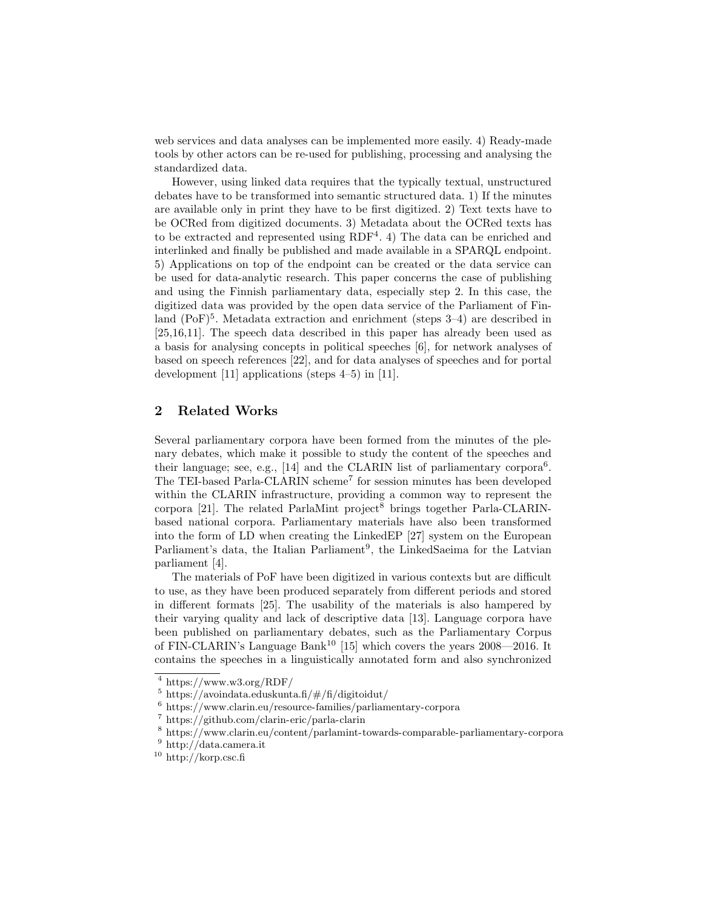web services and data analyses can be implemented more easily. 4) Ready-made tools by other actors can be re-used for publishing, processing and analysing the standardized data.

However, using linked data requires that the typically textual, unstructured debates have to be transformed into semantic structured data. 1) If the minutes are available only in print they have to be first digitized. 2) Text texts have to be OCRed from digitized documents. 3) Metadata about the OCRed texts has to be extracted and represented using  $RDF<sup>4</sup>$ . 4) The data can be enriched and interlinked and finally be published and made available in a SPARQL endpoint. 5) Applications on top of the endpoint can be created or the data service can be used for data-analytic research. This paper concerns the case of publishing and using the Finnish parliamentary data, especially step 2. In this case, the digitized data was provided by the open data service of the Parliament of Finland (PoF)<sup>5</sup>. Metadata extraction and enrichment (steps 3-4) are described in [25,16,11]. The speech data described in this paper has already been used as a basis for analysing concepts in political speeches [6], for network analyses of based on speech references [22], and for data analyses of speeches and for portal development [11] applications (steps 4–5) in [11].

# 2 Related Works

Several parliamentary corpora have been formed from the minutes of the plenary debates, which make it possible to study the content of the speeches and their language; see, e.g., [14] and the CLARIN list of parliamentary corpora<sup>6</sup>. The TEI-based Parla-CLARIN scheme<sup>7</sup> for session minutes has been developed within the CLARIN infrastructure, providing a common way to represent the corpora [21]. The related ParlaMint project<sup>8</sup> brings together Parla-CLARINbased national corpora. Parliamentary materials have also been transformed into the form of LD when creating the LinkedEP [27] system on the European Parliament's data, the Italian Parliament<sup>9</sup>, the LinkedSaeima for the Latvian parliament [4].

The materials of PoF have been digitized in various contexts but are difficult to use, as they have been produced separately from different periods and stored in different formats [25]. The usability of the materials is also hampered by their varying quality and lack of descriptive data [13]. Language corpora have been published on parliamentary debates, such as the Parliamentary Corpus of FIN-CLARIN's Language Bank<sup>10</sup> [15] which covers the years  $2008-2016$ . It contains the speeches in a linguistically annotated form and also synchronized

<sup>4</sup> https://www.w3.org/RDF/

 $5 \text{ https://avoidata.eduskunta.fi/#/fi/digitoidut/}$ 

 $^6$ https://www.clarin.eu/resource-families/parliamentary-corpora

<sup>7</sup> https://github.com/clarin-eric/parla-clarin

 $^8$ https://www.clarin.eu/content/parlamint-towards-comparable-parliamentary-corpora

 $9$  http://data.camera.it

 $10\ \mathrm{http://korp.csc.fi}$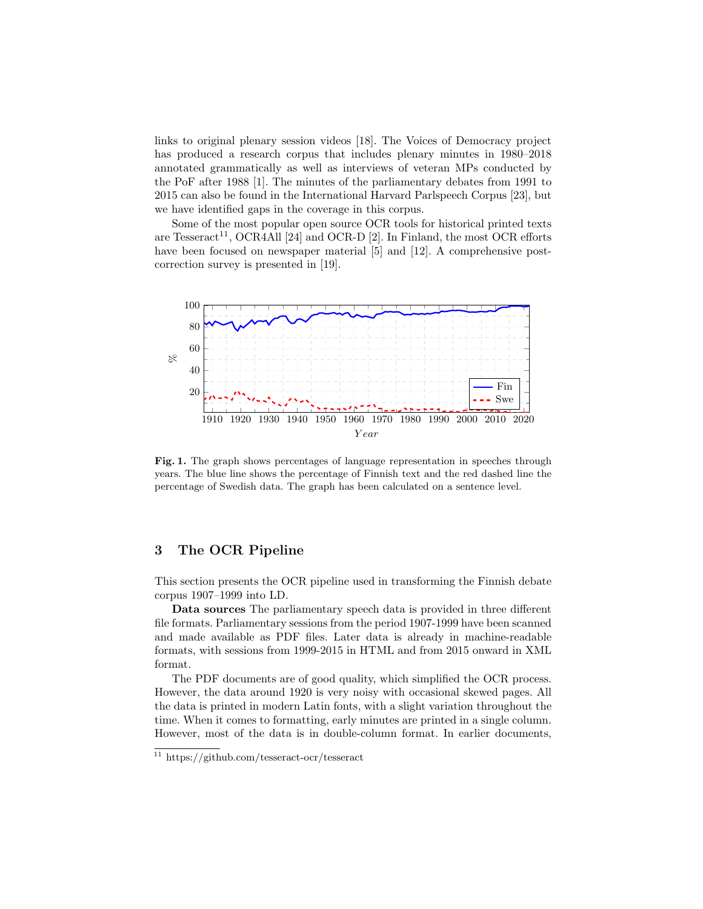links to original plenary session videos [18]. The Voices of Democracy project has produced a research corpus that includes plenary minutes in 1980–2018 annotated grammatically as well as interviews of veteran MPs conducted by the PoF after 1988 [1]. The minutes of the parliamentary debates from 1991 to 2015 can also be found in the International Harvard Parlspeech Corpus [23], but we have identified gaps in the coverage in this corpus.

Some of the most popular open source OCR tools for historical printed texts are Tesseract<sup>11</sup>, OCR4All [24] and OCR-D [2]. In Finland, the most OCR efforts have been focused on newspaper material [5] and [12]. A comprehensive postcorrection survey is presented in [19].



Fig. 1. The graph shows percentages of language representation in speeches through years. The blue line shows the percentage of Finnish text and the red dashed line the percentage of Swedish data. The graph has been calculated on a sentence level.

#### 3 The OCR Pipeline

This section presents the OCR pipeline used in transforming the Finnish debate corpus 1907–1999 into LD.

Data sources The parliamentary speech data is provided in three different file formats. Parliamentary sessions from the period 1907-1999 have been scanned and made available as PDF files. Later data is already in machine-readable formats, with sessions from 1999-2015 in HTML and from 2015 onward in XML format.

The PDF documents are of good quality, which simplified the OCR process. However, the data around 1920 is very noisy with occasional skewed pages. All the data is printed in modern Latin fonts, with a slight variation throughout the time. When it comes to formatting, early minutes are printed in a single column. However, most of the data is in double-column format. In earlier documents,

<sup>11</sup> https://github.com/tesseract-ocr/tesseract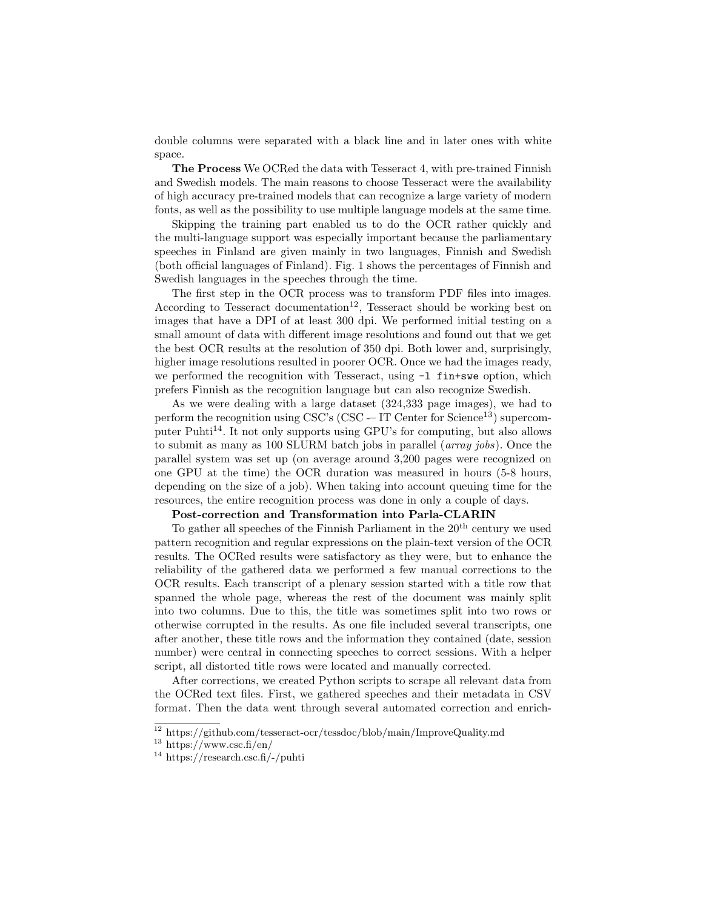double columns were separated with a black line and in later ones with white space.

The Process We OCRed the data with Tesseract 4, with pre-trained Finnish and Swedish models. The main reasons to choose Tesseract were the availability of high accuracy pre-trained models that can recognize a large variety of modern fonts, as well as the possibility to use multiple language models at the same time.

Skipping the training part enabled us to do the OCR rather quickly and the multi-language support was especially important because the parliamentary speeches in Finland are given mainly in two languages, Finnish and Swedish (both official languages of Finland). Fig. 1 shows the percentages of Finnish and Swedish languages in the speeches through the time.

The first step in the OCR process was to transform PDF files into images. According to Tesseract documentation<sup>12</sup>, Tesseract should be working best on images that have a DPI of at least 300 dpi. We performed initial testing on a small amount of data with different image resolutions and found out that we get the best OCR results at the resolution of 350 dpi. Both lower and, surprisingly, higher image resolutions resulted in poorer OCR. Once we had the images ready, we performed the recognition with Tesseract, using  $-I$  fin+swe option, which prefers Finnish as the recognition language but can also recognize Swedish.

As we were dealing with a large dataset (324,333 page images), we had to perform the recognition using CSC's (CSC  $-$  IT Center for Science<sup>13</sup>) supercomputer Puhti<sup>14</sup>. It not only supports using GPU's for computing, but also allows to submit as many as 100 SLURM batch jobs in parallel (array jobs). Once the parallel system was set up (on average around 3,200 pages were recognized on one GPU at the time) the OCR duration was measured in hours (5-8 hours, depending on the size of a job). When taking into account queuing time for the resources, the entire recognition process was done in only a couple of days.

### Post-correction and Transformation into Parla-CLARIN

To gather all speeches of the Finnish Parliament in the  $20<sup>th</sup>$  century we used pattern recognition and regular expressions on the plain-text version of the OCR results. The OCRed results were satisfactory as they were, but to enhance the reliability of the gathered data we performed a few manual corrections to the OCR results. Each transcript of a plenary session started with a title row that spanned the whole page, whereas the rest of the document was mainly split into two columns. Due to this, the title was sometimes split into two rows or otherwise corrupted in the results. As one file included several transcripts, one after another, these title rows and the information they contained (date, session number) were central in connecting speeches to correct sessions. With a helper script, all distorted title rows were located and manually corrected.

After corrections, we created Python scripts to scrape all relevant data from the OCRed text files. First, we gathered speeches and their metadata in CSV format. Then the data went through several automated correction and enrich-

<sup>12</sup> https://github.com/tesseract-ocr/tessdoc/blob/main/ImproveQuality.md

 $13 \text{ https://www.csc.fi/en/}$ 

 $14 \text{ https://research.csc.fi/~/puhti}$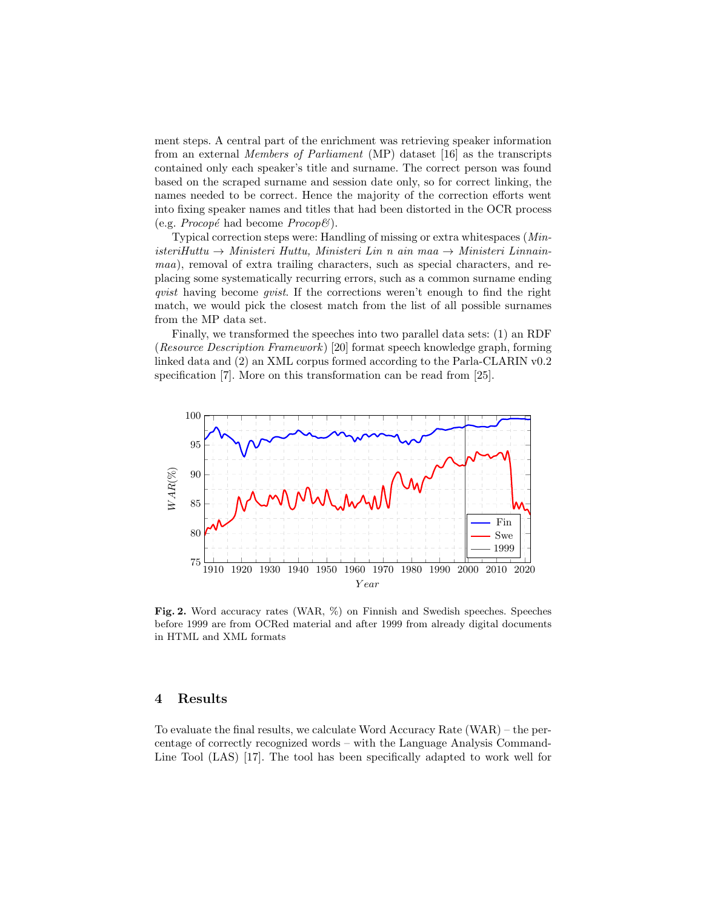ment steps. A central part of the enrichment was retrieving speaker information from an external Members of Parliament (MP) dataset [16] as the transcripts contained only each speaker's title and surname. The correct person was found based on the scraped surname and session date only, so for correct linking, the names needed to be correct. Hence the majority of the correction efforts went into fixing speaker names and titles that had been distorted in the OCR process (e.g. *Procopé* had become  $Proof($ ).

Typical correction steps were: Handling of missing or extra whitespaces (Min- $\text{interiHuttu} \rightarrow \text{Ministeri Huttu}, \text{Ministeri Lin } n \text{ ain } maa \rightarrow \text{Ministeri Linnain}$ maa), removal of extra trailing characters, such as special characters, and replacing some systematically recurring errors, such as a common surname ending qvist having become qvist. If the corrections weren't enough to find the right match, we would pick the closest match from the list of all possible surnames from the MP data set.

Finally, we transformed the speeches into two parallel data sets: (1) an RDF (Resource Description Framework ) [20] format speech knowledge graph, forming linked data and (2) an XML corpus formed according to the Parla-CLARIN v0.2 specification [7]. More on this transformation can be read from [25].



Fig. 2. Word accuracy rates (WAR, %) on Finnish and Swedish speeches. Speeches before 1999 are from OCRed material and after 1999 from already digital documents in HTML and XML formats

#### 4 Results

To evaluate the final results, we calculate Word Accuracy Rate (WAR) – the percentage of correctly recognized words – with the Language Analysis Command-Line Tool (LAS) [17]. The tool has been specifically adapted to work well for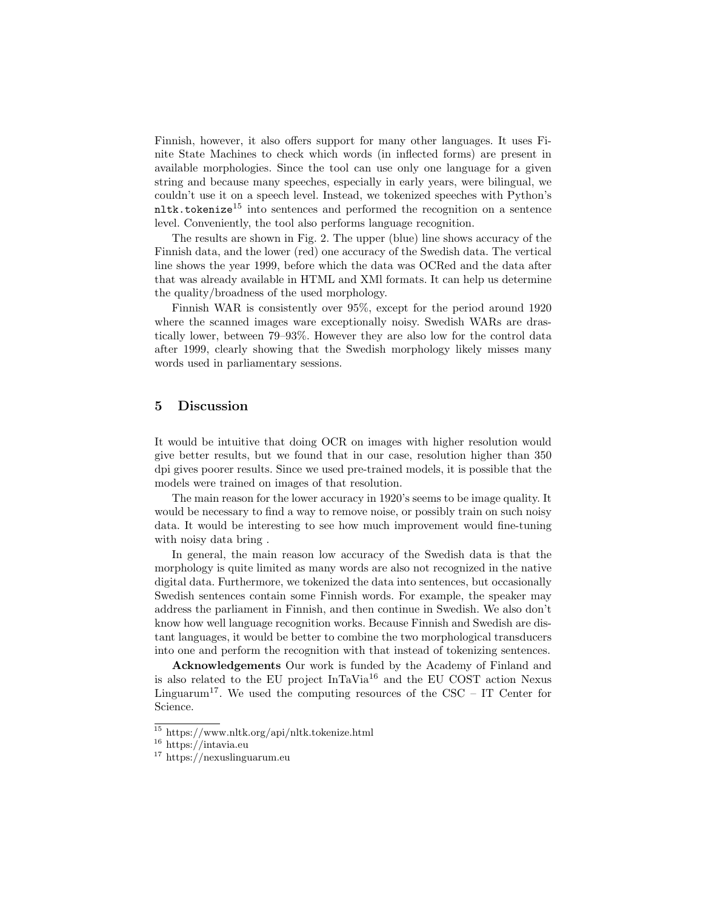Finnish, however, it also offers support for many other languages. It uses Finite State Machines to check which words (in inflected forms) are present in available morphologies. Since the tool can use only one language for a given string and because many speeches, especially in early years, were bilingual, we couldn't use it on a speech level. Instead, we tokenized speeches with Python's  $nl$ tk.tokenize<sup>15</sup> into sentences and performed the recognition on a sentence level. Conveniently, the tool also performs language recognition.

The results are shown in Fig. 2. The upper (blue) line shows accuracy of the Finnish data, and the lower (red) one accuracy of the Swedish data. The vertical line shows the year 1999, before which the data was OCRed and the data after that was already available in HTML and XMl formats. It can help us determine the quality/broadness of the used morphology.

Finnish WAR is consistently over 95%, except for the period around 1920 where the scanned images ware exceptionally noisy. Swedish WARs are drastically lower, between 79–93%. However they are also low for the control data after 1999, clearly showing that the Swedish morphology likely misses many words used in parliamentary sessions.

#### 5 Discussion

It would be intuitive that doing OCR on images with higher resolution would give better results, but we found that in our case, resolution higher than 350 dpi gives poorer results. Since we used pre-trained models, it is possible that the models were trained on images of that resolution.

The main reason for the lower accuracy in 1920's seems to be image quality. It would be necessary to find a way to remove noise, or possibly train on such noisy data. It would be interesting to see how much improvement would fine-tuning with noisy data bring .

In general, the main reason low accuracy of the Swedish data is that the morphology is quite limited as many words are also not recognized in the native digital data. Furthermore, we tokenized the data into sentences, but occasionally Swedish sentences contain some Finnish words. For example, the speaker may address the parliament in Finnish, and then continue in Swedish. We also don't know how well language recognition works. Because Finnish and Swedish are distant languages, it would be better to combine the two morphological transducers into one and perform the recognition with that instead of tokenizing sentences.

Acknowledgements Our work is funded by the Academy of Finland and is also related to the EU project  $InTaVia<sup>16</sup>$  and the EU COST action Nexus Linguarum<sup>17</sup>. We used the computing resources of the CSC – IT Center for Science.

<sup>15</sup> https://www.nltk.org/api/nltk.tokenize.html

<sup>16</sup> https://intavia.eu

<sup>17</sup> https://nexuslinguarum.eu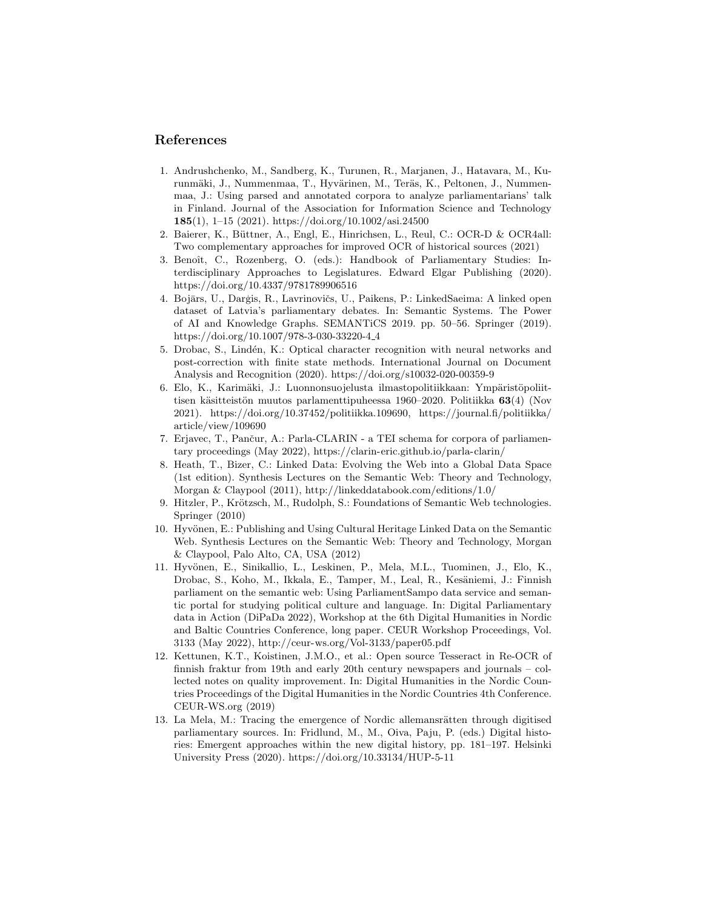#### References

- 1. Andrushchenko, M., Sandberg, K., Turunen, R., Marjanen, J., Hatavara, M., Kurunmäki, J., Nummenmaa, T., Hyvärinen, M., Teräs, K., Peltonen, J., Nummenmaa, J.: Using parsed and annotated corpora to analyze parliamentarians' talk in Finland. Journal of the Association for Information Science and Technology 185(1), 1–15 (2021). https://doi.org/10.1002/asi.24500
- 2. Baierer, K., Büttner, A., Engl, E., Hinrichsen, L., Reul, C.: OCR-D & OCR4all: Two complementary approaches for improved OCR of historical sources (2021)
- 3. Benoît, C., Rozenberg, O. (eds.): Handbook of Parliamentary Studies: Interdisciplinary Approaches to Legislatures. Edward Elgar Publishing (2020). https://doi.org/10.4337/9781789906516
- 4. Bojārs, U., Darģis, R., Lavrinovičs, U., Paikens, P.: LinkedSaeima: A linked open dataset of Latvia's parliamentary debates. In: Semantic Systems. The Power of AI and Knowledge Graphs. SEMANTiCS 2019. pp. 50–56. Springer (2019). https://doi.org/10.1007/978-3-030-33220-4 4
- 5. Drobac, S., Lind´en, K.: Optical character recognition with neural networks and post-correction with finite state methods. International Journal on Document Analysis and Recognition (2020). https://doi.org/s10032-020-00359-9
- 6. Elo, K., Karimäki, J.: Luonnonsuojelusta ilmastopolitiikkaan: Ympäristöpoliittisen käsitteistön muutos parlamenttipuheessa 1960–2020. Politiikka  $63(4)$  (Nov 2021). https://doi.org/10.37452/politiikka.109690, https://journal.fi/politiikka/ article/view/109690
- 7. Erjavec, T., Pančur, A.: Parla-CLARIN a TEI schema for corpora of parliamentary proceedings (May 2022), https://clarin-eric.github.io/parla-clarin/
- 8. Heath, T., Bizer, C.: Linked Data: Evolving the Web into a Global Data Space (1st edition). Synthesis Lectures on the Semantic Web: Theory and Technology, Morgan & Claypool (2011), http://linkeddatabook.com/editions/1.0/
- 9. Hitzler, P., Krötzsch, M., Rudolph, S.: Foundations of Semantic Web technologies. Springer (2010)
- 10. Hyvönen, E.: Publishing and Using Cultural Heritage Linked Data on the Semantic Web. Synthesis Lectures on the Semantic Web: Theory and Technology, Morgan & Claypool, Palo Alto, CA, USA (2012)
- 11. Hyvönen, E., Sinikallio, L., Leskinen, P., Mela, M.L., Tuominen, J., Elo, K., Drobac, S., Koho, M., Ikkala, E., Tamper, M., Leal, R., Kesäniemi, J.: Finnish parliament on the semantic web: Using ParliamentSampo data service and semantic portal for studying political culture and language. In: Digital Parliamentary data in Action (DiPaDa 2022), Workshop at the 6th Digital Humanities in Nordic and Baltic Countries Conference, long paper. CEUR Workshop Proceedings, Vol. 3133 (May 2022), http://ceur-ws.org/Vol-3133/paper05.pdf
- 12. Kettunen, K.T., Koistinen, J.M.O., et al.: Open source Tesseract in Re-OCR of finnish fraktur from 19th and early 20th century newspapers and journals – collected notes on quality improvement. In: Digital Humanities in the Nordic Countries Proceedings of the Digital Humanities in the Nordic Countries 4th Conference. CEUR-WS.org (2019)
- 13. La Mela, M.: Tracing the emergence of Nordic allemansrätten through digitised parliamentary sources. In: Fridlund, M., M., Oiva, Paju, P. (eds.) Digital histories: Emergent approaches within the new digital history, pp. 181–197. Helsinki University Press (2020). https://doi.org/10.33134/HUP-5-11